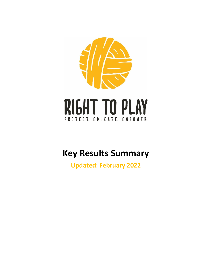

# **Key Results Summary**

**Updated: February 2022**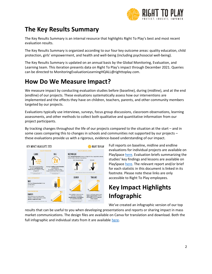

## **The Key Results Summary**

The Key Results Summary is an internal resource that highlights Right To Play's best and most recent evaluation results.

The Key Results Summary is organized according to our four key outcome areas: quality education, child protection, girls' empowerment, and health and well-being (including psychosocial well-being).

The Key Results Summary is updated on an annual basis by the Global Monitoring, Evaluation, and Learning team. This iteration presents data on Right To Play's impact through December 2021. Queries can be directed to MonitoringEvaluationLearningHQALL@righttoplay.com.

#### **How Do We Measure Impact?**

We measure impact by conducting evaluation studies before (baseline), during (midline), and at the end (endline) of our projects. These evaluations systematically assess how our interventions are implemented and the effects they have on children, teachers, parents, and other community members targeted by our projects.

Evaluations typically use interviews, surveys, focus group discussions, classroom observations, learning assessments, and other methods to collect both qualitative and quantitative information from our project participants.

By tracking changes throughout the life of our projects compared to the situation at the start – and in some cases comparing this to changes in schools and communities not supported by our projects – these evaluations provide us with a rigorous, evidence-based understanding of our impact.



Full reports on baseline, midline and endline evaluations for individual projects are available on PlaySpac[e here.](https://righttoplay1.sharepoint.com/:f:/r/sites/Program/Monitoring/Evaluation%20Reports?csf=1&web=1&e=kyySbY) Evaluation briefs summarizing the studies' key findings and lessons are available on PlaySpac[e here.](https://righttoplay1.sharepoint.com/:f:/r/sites/Program/Monitoring/Evaluation%20Briefs?csf=1&web=1&e=eBh9Nu) The relevant report and/or brief for each statistic in this document is linked in its footnote. Please note these links are only accessible to Right To Play employees.

## **Key Impact Highlights Infographic**

We've created an infographic version of our top

results that can be useful to you when developing presentations and reports or sharing impact in mass market communications. The design files are available on Canva for translation and download. Both the full infographic and individual stats from it are available [here.](https://www.canva.com/folder/FAE6DU4zBqc)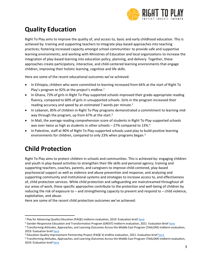

## **Quality Education**

Right To Play aims to improve the quality of, and access to, basic and early childhood education. This is achieved by: training and supporting teachers to integrate play-based approaches into teaching practices; fostering increased capacity amongst school communities<sup>1</sup> to provide safe and supportive learning environments; and working with Ministries of Education and local organizations to increase the integration of play-based learning into education policy, planning, and delivery. Together, these approaches create participatory, interactive, and child-centered learning environments that engage children, improving their holistic learning, cognitive and life skills.

Here are some of the recent educational outcomes we've achieved:

- In Ethiopia, children who were committed to learning increased from 64% at the start of Right To Play's program to 92% at the project's midline.<sup>1</sup>
- In Ghana, 73% of girls in Right To Play-supported schools improved their grade-appropriate reading fluency, compared to 60% of girls in unsupported schools. Girls in the program increased their reading accuracy and speed by an estimated 7 words per minute.<sup>2</sup>
- In Lebanon, 85% of children in Right To Play programs demonstrated a commitment to learning midway through the program, up from 67% at the start.<sup>3</sup>
- In Mali, the average reading comprehension score of students in Right To Play-supported schools was over twice as high as students in other schools - 27% compared to 13%.<sup>4</sup>
- In Palestine, staff at 90% of Right To Play-supported schools used play to build positive learning environments for children, compared to only 23% when programs began.<sup>5</sup>

## **Child Protection**

Right To Play aims to protect children in schools and communities. This is achieved by: engaging children and youth in play-based activities to strengthen their life skills and personal agency; training and supporting teachers, coaches, parents, and caregivers to improve child-centered, play-based psychosocial support as well as violence and abuse prevention and response; and analyzing and supporting community and institutional systems and strategies to increase access to, and effectiveness of, child protection services. While child protection and safeguarding are mainstreamed throughout all our areas of work, these specific approaches contribute to the protection and well-being of children by reducing the risk of exposure to – and strengthening capacity to prevent and respond to – child violence, exploitation, and abuse.

Here are some of the recent child protection outcomes we've achieved:

<sup>1</sup> Play for Advancing Quality Education (PAQE) midterm evaluation, 2019: Evaluation brie[f here](https://righttoplay1.sharepoint.com/:f:/r/sites/Program/Monitoring/Evaluation%20Briefs?csf=1&web=1&e=RZ5DHd)

<sup>&</sup>lt;sup>2</sup> Gender-Responsive Education and Transformation Program (GREAT) midterm evaluation, 2021: Evaluation Brie[f here](https://righttoplay1.sharepoint.com/:f:/r/sites/Program/Monitoring/Evaluation%20Briefs?csf=1&web=1&e=6it7n5)

<sup>3</sup> Transforming Attitudes, Approaches, and Learning Outcomes Across the Middle East Program (TAALOM) midterm evaluation, 2019: Evaluation brie[f here](https://righttoplay1.sharepoint.com/:f:/r/sites/Program/Monitoring/Evaluation%20Briefs?csf=1&web=1&e=RZ5DHd)

<sup>4</sup> Education Quality Improvement Partnership Project (PAQE II) endline evaluation, 2021: Evaluation brie[f here](https://righttoplay1.sharepoint.com/:f:/r/sites/Program/Monitoring/Evaluation%20Briefs?csf=1&web=1&e=qizISF)

<sup>5</sup> Transforming Attitudes, Approaches, and Learning Outcomes Across the Middle East Program (TAALOM) midterm evaluation, 2019: Evaluation brie[f here](https://righttoplay1.sharepoint.com/:f:/r/sites/Program/Monitoring/Evaluation%20Briefs?csf=1&web=1&e=RZ5DHd)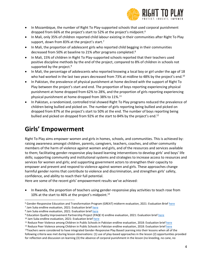

- In Mozambique, the number of Right To Play-supported schools that used corporal punishment dropped from 66% at the project's start to 52% at the project's midpoint.<sup>6</sup>
- In Mali, only 35% of children reported child labour existing in their communities after Right To Play support, down from 83% at the project's start.<sup>7</sup>
- In Mali, the proportion of adolescent girls who reported child begging in their communities decreased from 50% at baseline to 21% after programs completed.<sup>8</sup>
- In Mali, 15% of children in Right To Play-supported schools reported that their teachers used positive discipline methods by the end of the project, compared to 8% of children in schools not supported by the project.<sup>9</sup>
- In Mali, the percentage of adolescents who reported knowing a local boy or girl under the age of 18 who had worked in the last two years decreased from 73% at midline to 48% by the project's end.<sup>10</sup>
- In Pakistan, the prevalence of physical punishment at home declined with the support of Right To Play between the project's start and end. The proportion of boys reporting experiencing physical punishment at home dropped from 62% to 28%, and the proportion of girls reporting experiencing physical punishment at home dropped from 38% to 11%. 11
- In Pakistan, a randomized, controlled trial showed Right To Play programs reduced the prevalence of children being bullied and picked on. The number of girls reporting being bullied and picked on dropped from 87% at the project's start to 50% at the end. The number of boys reporting being bullied and picked on dropped from 92% at the start to 84% by the project's end.<sup>12</sup>

#### **Girls' Empowerment**

Right To Play aims empower women and girls in homes, schools, and communities. This is achieved by: raising awareness amongst children, parents, caregivers, teachers, coaches, and other community members of the harm of violence against women and girls, and of the resources and services available to them; facilitating gender-responsive play-based learning interventions to develop girls' and boys' life skills; supporting community and institutional systems and strategies to increase access to resources and services for women and girls; and supporting government actors to strengthen their capacity to empower and prevent and respond to violence against women and girls. These approaches change harmful gender norms that contribute to violence and discrimination, and strengthen girls' safety, confidence, and ability to reach their full potential.

Here are some of the recent girls' empowerment results we've achieved:

• In Rwanda, the proportion of teachers using gender-responsive play activities to teach rose from 10% at the start to 46% at the project's midpoint. 13

<sup>10</sup> Jam Suka endline evaluation, 2021: Evaluation brie[f here](https://righttoplay1.sharepoint.com/:f:/r/sites/Program/Monitoring/Evaluation%20Briefs?csf=1&web=1&e=fOE20V)

<sup>&</sup>lt;sup>6</sup> Gender-Responsive Education and Transformation Program (GREAT) midterm evaluation, 2021: Evaluation Brief [here](https://righttoplay1.sharepoint.com/:f:/r/sites/Program/Monitoring/Evaluation%20Briefs?csf=1&web=1&e=6it7n5) <sup>7</sup> Jam Suka endline evaluation, 2021: Evaluation brie[f here](https://righttoplay1.sharepoint.com/:f:/r/sites/Program/Monitoring/Evaluation%20Briefs?csf=1&web=1&e=fOE20V)

<sup>&</sup>lt;sup>8</sup> Jam Suka endline evaluation, 2021: Evaluation brie[f here](https://righttoplay1.sharepoint.com/:f:/r/sites/Program/Monitoring/Evaluation%20Briefs?csf=1&web=1&e=fOE20V)

<sup>9</sup> Education Quality Improvement Partnership Project (PAQE II) endline evaluation, 2021: Evaluation brie[f here](https://righttoplay1.sharepoint.com/:f:/r/sites/Program/Monitoring/Evaluation%20Briefs?csf=1&web=1&e=qizISF)

<sup>&</sup>lt;sup>11</sup> Reduce Peer Violence among Children in Public Schools in Pakistan endline evaluation, 2018: Evaluation brie[f here](https://righttoplay1.sharepoint.com/:f:/r/sites/Program/Monitoring/Evaluation%20Briefs?csf=1&web=1&e=Vx2zkf)

<sup>&</sup>lt;sup>12</sup> Reduce Peer Violence among Children in Public Schools in Pakistan endline evaluation, 2018: Evaluation brie[f here](https://righttoplay1.sharepoint.com/:f:/r/sites/Program/Monitoring/Evaluation%20Briefs?csf=1&web=1&e=Daffo9) 13Teachers were considered to have integrated Gender-Responsive Play Based Learning into their lessons when all of the following criteria was met during lesson observations: (1) use of play-based approaches in the lesson (2) opportunities provided for reflection and discussion on learning (3) the absence of corporal punishment in the lesson (no kneeling, no cane, no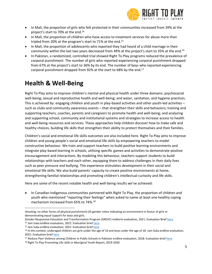

- In Mali, the proportion of girls who felt protected in their communities increased from 39% at the project's start to 70% at the end.<sup>14</sup>
- In Mali, the proportion of children who have access to treatment services for abuse more than tripled from 20% at the program's start to 71% at the end.<sup>15</sup>
- In Mali, the proportion of adolescents who reported they had heard of a child marriage in their community within the last two years decreased from 49% at the project's start to 35% at the end.<sup>16</sup>
- In Pakistan, a randomized, controlled trial showed Right To Play programs reduced the prevalence of corporal punishment. The number of girls who reported experiencing corporal punishment dropped from 67% at the project's start to 36% by its end. The number of boys who reported experiencing corporal punishment dropped from 92% at the start to 68% by the end.<sup>17</sup>

#### **Health & Well-Being**

Right To Play aims to improve children's mental and physical health under three domains: psychosocial well-being; sexual and reproductive health and well-being; and water, sanitation, and hygiene practices. This is achieved by: engaging children and youth in play-based activities and other youth-led activities – such as clubs and community awareness events – that strengthen their skills and behaviors; training and supporting teachers, coaches, parents and caregivers to promote health and well-being; and analyzing and supporting school, community and institutional systems and strategies to increase access to health and well-being resources and services. These approaches help children discover how to make safe and healthy choices, building life skills that strengthen their ability to protect themselves and their families.

Children's social and emotional life skills outcomes are also included here. Right To Play aims to improve children and young people's social and emotional life skills by empowering teachers to model constructive behaviour. We train and support teachers to build positive learning environments and integrate play-based learning in schools, utilising specific games and activities to demonstrate positive encouragement and interactions. By modeling this behaviour, teachers support students to build relationships with teachers and each other, equipping them to address challenges in their daily lives such as peer pressure and bullying. This experience stimulates development in their social and emotional life skills. We also build parents' capacity to create positive environments at home, strengthening familial relationships and promoting children's intellectual curiosity and life skills.

Here are some of the recent notable health and well-being results we've achieved:

• In Canadian Indigenous communities partnered with Right To Play, the proportion of children and youth who mentioned "reporting their feelings" when asked to name at least one healthy coping mechanism increased from 65% to 74%.<sup>18</sup>

<sup>15</sup> Jam Suka endline evaluation, 2021: Evaluation brie[f here](https://righttoplay1.sharepoint.com/:f:/r/sites/Program/Monitoring/Evaluation%20Briefs?csf=1&web=1&e=fOE20V)

shouting, no other forms of physical punishment) (4) gender ratios indicating an environment in favour of girls or demonstrating equal support for boys and girls.

Gender-Responsive Education and Transformation Program (GREAT) midterm evaluation, 2021: Evaluation Brief [here](https://righttoplay1.sharepoint.com/:f:/r/sites/Program/Monitoring/Evaluation%20Briefs?csf=1&web=1&e=6it7n5) <sup>14</sup> Jam Suka endline evaluation, 2021: Evaluation brie[f here](https://righttoplay1.sharepoint.com/:f:/r/sites/Program/Monitoring/Evaluation%20Briefs?csf=1&web=1&e=fOE20V)

<sup>&</sup>lt;sup>16</sup> In this context, underaged children are girls under the age of 16 and boys under the age of 18. Jam Suka endline evaluation, 2021: Evaluation brie[f here](https://righttoplay1.sharepoint.com/:f:/r/sites/Program/Monitoring/Evaluation%20Briefs?csf=1&web=1&e=fOE20V)

<sup>&</sup>lt;sup>17</sup> Reduce Peer Violence among Children in Public Schools in Pakistan endline evaluation, 2018: Evaluation brief [here](https://righttoplay1.sharepoint.com/:f:/r/sites/Program/Monitoring/Evaluation%20Briefs?csf=1&web=1&e=nJ03HD) <sup>18</sup> Right To Play Promoting Life-skills in Aboriginal Youth Report, 2019-2020